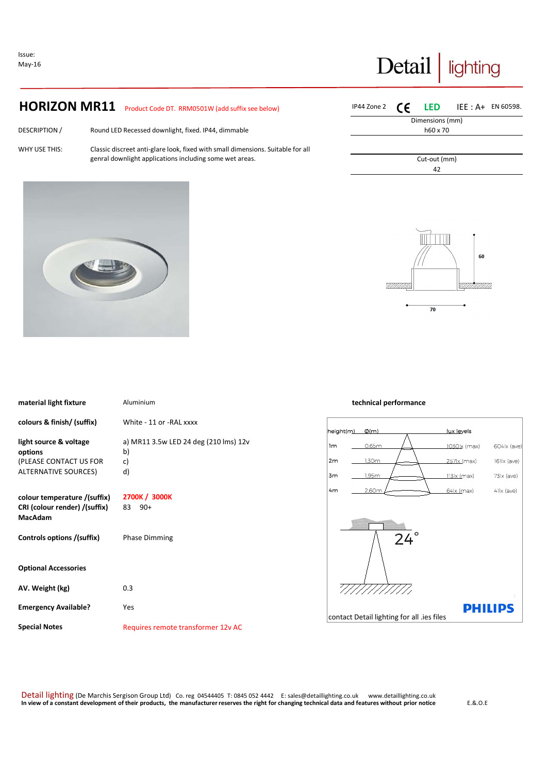Issue: May-16

**Special Notes** 

# Detail lighting

## **HORIZON MR11** Product Code DT. RRM0501W (add suffix see below)

DESCRIPTION / WHY USE THIS: Round LED Recessed downlight, fixed. IP44, dimmable

Classic discreet anti-glare look, fixed with small dimensions. Suitable for all genral downlight applications including some wet areas.



| IP44 Zone 2 $\epsilon$ |                 | <b>LED</b> IEE : $A+$ EN 60598. |  |
|------------------------|-----------------|---------------------------------|--|
|                        | Dimensions (mm) |                                 |  |
|                        | h60 x 70        |                                 |  |
|                        |                 |                                 |  |
|                        |                 |                                 |  |
|                        | Cut-out (mm)    |                                 |  |
|                        | 42              |                                 |  |
|                        |                 |                                 |  |



| material light fixture        | Aluminium                             | technical performance |                                            |              |                        |
|-------------------------------|---------------------------------------|-----------------------|--------------------------------------------|--------------|------------------------|
| colours & finish/ (suffix)    | White - 11 or -RAL xxxx               |                       |                                            |              |                        |
|                               |                                       | height(m)             | $\phi$ (m)                                 | lux levels   |                        |
| light source & voltage        | a) MR11 3.5w LED 24 deg (210 lms) 12v | 1m                    | 0.65m                                      | 1030lx (max) | $604 \times (see)$     |
| options                       | b)                                    |                       |                                            |              |                        |
| (PLEASE CONTACT US FOR        | c)                                    | 2m                    | 1.30m                                      | 257 (max)    | 161 x (ave)            |
| <b>ALTERNATIVE SOURCES)</b>   | d)                                    | 3m                    | 1.95m                                      | 113 lx (max) | $73 \times (a \vee e)$ |
|                               |                                       | 4 <sub>m</sub>        | 2.60m                                      | 64 x (max)   | $41 \times (a \vee e)$ |
| colour temperature /(suffix)  | 2700K / 3000K                         |                       |                                            |              |                        |
| CRI (colour render) /(suffix) | 83 90+                                |                       |                                            |              |                        |
| <b>MacAdam</b>                |                                       |                       |                                            |              |                        |
|                               |                                       |                       |                                            |              |                        |
| Controls options /(suffix)    | <b>Phase Dimming</b>                  |                       | 24                                         |              |                        |
|                               |                                       |                       |                                            |              |                        |
|                               |                                       |                       |                                            |              |                        |
| <b>Optional Accessories</b>   |                                       |                       |                                            |              |                        |
|                               |                                       |                       |                                            |              |                        |
| AV. Weight (kg)               | 0.3                                   |                       |                                            |              |                        |
|                               |                                       |                       |                                            |              |                        |
| <b>Emergency Available?</b>   | Yes                                   |                       |                                            |              | <b>PHILIPS</b>         |
|                               |                                       |                       | contact Detail lighting for all .ies files |              |                        |

### Detail lighting (De Marchis Sergison Group Ltd) Co. reg 04544405 T: 0845 052 4442 E: sales@detaillighting.co.uk www.detaillighting.co.uk **In view of a constant development of their products, the manufacturer reserves the right for changing technical data and features without prior notice** E.&.O.E

Requires remote transformer 12v AC